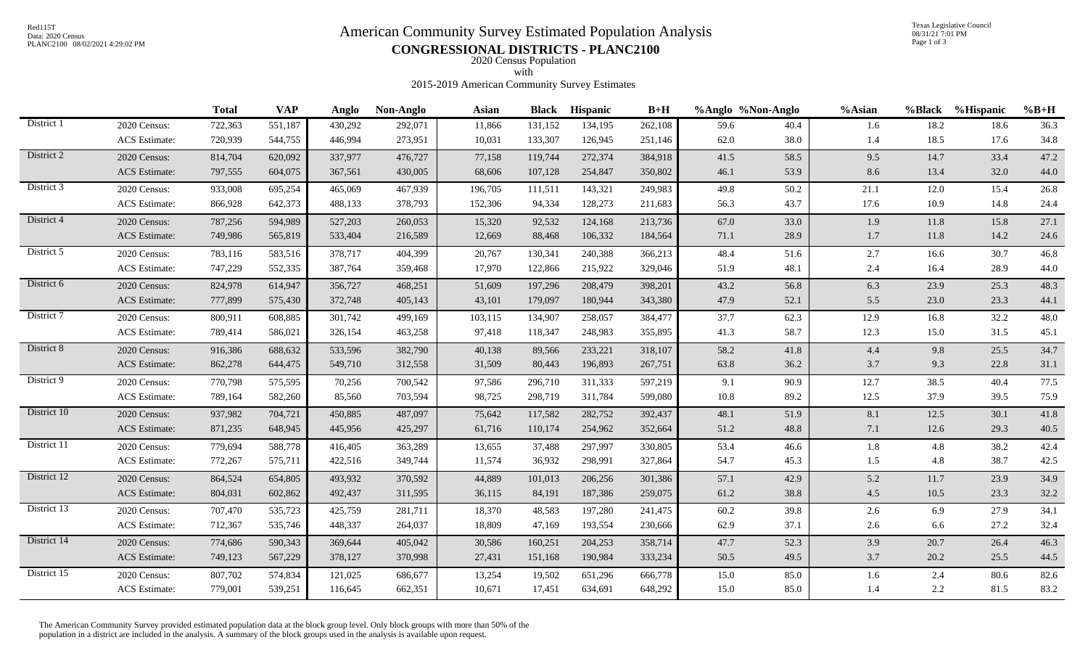# Red115T<br>Data: 2020 Census<br>PLANC2100 08/02/2021 4:29:02 PM<br>
CONGRESSION 1.5 DISTRICTES DU ANG2100

Texas Legislative Council 08/31/21 7:01 PM Page 1 of 3

PLANC2100 08/02/2021 4:29:02 PM **CONGRESSIONAL DISTRICTS - PLANC2100** 

2020 Census Population with

## 2015-2019 American Community Survey Estimates

|                      | <b>Total</b> | <b>VAP</b> | Anglo   | Non-Anglo | <b>Asian</b> | <b>Black</b> | <b>Hispanic</b> | $B+H$   |      |      | %Asian            |      | %Hispanic | $%B+H$        |
|----------------------|--------------|------------|---------|-----------|--------------|--------------|-----------------|---------|------|------|-------------------|------|-----------|---------------|
| 2020 Census:         | 722,363      | 551,187    | 430,292 | 292,071   | 11,866       | 131,152      | 134,195         | 262,108 | 59.6 | 40.4 | 1.6               | 18.2 | 18.6      | 36.3          |
| <b>ACS</b> Estimate: | 720,939      | 544,755    | 446,994 | 273,951   | 10,031       | 133,307      | 126,945         | 251,146 | 62.0 | 38.0 | 1.4               | 18.5 | 17.6      | 34.8          |
| 2020 Census:         | 814,704      | 620,092    | 337,977 | 476,727   | 77,158       | 119,744      | 272,374         | 384,918 | 41.5 | 58.5 | 9.5               | 14.7 | 33.4      | 47.2          |
| <b>ACS</b> Estimate: | 797,555      | 604,075    | 367,561 | 430,005   | 68,606       | 107,128      | 254,847         | 350,802 | 46.1 | 53.9 | 8.6               | 13.4 | 32.0      | 44.0          |
| 2020 Census:         | 933,008      | 695,254    | 465,069 | 467,939   | 196,705      | 111,511      | 143,321         | 249,983 | 49.8 | 50.2 | 21.1              | 12.0 | 15.4      | 26.8          |
| ACS Estimate:        | 866,928      | 642,373    | 488,133 | 378,793   | 152,306      | 94,334       | 128,273         | 211,683 | 56.3 | 43.7 | 17.6              | 10.9 | 14.8      | 24.4          |
| 2020 Census:         | 787,256      | 594,989    | 527,203 | 260,053   | 15,320       | 92,532       | 124,168         | 213,736 | 67.0 | 33.0 | 1.9               | 11.8 | 15.8      | 27.1          |
| ACS Estimate:        | 749,986      | 565,819    | 533,404 | 216,589   | 12,669       | 88,468       | 106,332         | 184,564 | 71.1 | 28.9 | 1.7               | 11.8 | 14.2      | 24.6          |
| 2020 Census:         | 783,116      | 583,516    | 378,717 | 404,399   | 20,767       | 130,341      | 240,388         | 366,213 | 48.4 | 51.6 | 2.7               | 16.6 | 30.7      | 46.8          |
| <b>ACS</b> Estimate: | 747,229      | 552,335    | 387,764 | 359,468   | 17,970       | 122,866      | 215,922         | 329,046 | 51.9 | 48.1 | 2.4               | 16.4 | 28.9      | 44.0          |
| 2020 Census:         | 824,978      | 614,947    | 356,727 | 468,251   | 51,609       | 197,296      | 208,479         | 398,201 | 43.2 | 56.8 | 6.3               | 23.9 | 25.3      | 48.3          |
| <b>ACS</b> Estimate: | 777,899      | 575,430    | 372,748 | 405,143   | 43,101       | 179,097      | 180,944         | 343,380 | 47.9 | 52.1 | 5.5               | 23.0 | 23.3      | 44.1          |
| 2020 Census:         | 800,911      | 608,885    | 301,742 | 499,169   | 103,115      | 134,907      | 258,057         | 384,477 | 37.7 | 62.3 | 12.9              | 16.8 | 32.2      | 48.0          |
| <b>ACS</b> Estimate: | 789,414      | 586,021    | 326,154 | 463,258   | 97,418       | 118,347      | 248,983         | 355,895 | 41.3 | 58.7 | 12.3              | 15.0 | 31.5      | 45.1          |
| 2020 Census:         | 916,386      | 688,632    | 533,596 | 382,790   | 40,138       | 89,566       | 233,221         | 318,107 | 58.2 | 41.8 | $4.4\,$           | 9.8  | 25.5      | 34.7          |
| <b>ACS</b> Estimate: | 862,278      | 644,475    | 549,710 | 312,558   | 31,509       | 80,443       | 196,893         | 267,751 | 63.8 | 36.2 | 3.7               | 9.3  | 22.8      | 31.1          |
| 2020 Census:         | 770,798      | 575,595    | 70,256  | 700,542   | 97,586       | 296,710      | 311,333         | 597,219 | 9.1  | 90.9 | 12.7              | 38.5 | 40.4      | 77.5          |
| ACS Estimate:        | 789,164      | 582,260    | 85,560  | 703,594   | 98,725       | 298,719      | 311,784         | 599,080 | 10.8 | 89.2 | 12.5              | 37.9 | 39.5      | 75.9          |
| 2020 Census:         | 937,982      | 704,721    | 450,885 | 487,097   | 75,642       | 117,582      | 282,752         | 392,437 | 48.1 | 51.9 | 8.1               | 12.5 | 30.1      | 41.8          |
| <b>ACS</b> Estimate: | 871,235      | 648,945    | 445,956 | 425,297   | 61,716       | 110,174      | 254,962         | 352,664 | 51.2 | 48.8 | $7.1\,$           | 12.6 | 29.3      | 40.5          |
| 2020 Census:         | 779,694      | 588,778    | 416,405 | 363,289   | 13,655       | 37,488       | 297,997         | 330,805 | 53.4 | 46.6 | 1.8               | 4.8  | 38.2      | 42.4          |
| ACS Estimate:        | 772,267      | 575,711    | 422,516 | 349,744   | 11,574       | 36,932       | 298,991         | 327,864 | 54.7 | 45.3 | 1.5               | 4.8  | 38.7      | 42.5          |
| 2020 Census:         | 864,524      | 654,805    | 493,932 | 370,592   | 44,889       | 101,013      | 206,256         | 301,386 | 57.1 | 42.9 | 5.2               | 11.7 | 23.9      | 34.9          |
| ACS Estimate:        | 804,031      | 602,862    | 492,437 | 311,595   | 36,115       | 84,191       | 187,386         | 259,075 | 61.2 | 38.8 | 4.5               | 10.5 | 23.3      | 32.2          |
| 2020 Census:         | 707,470      | 535,723    | 425,759 | 281,711   | 18,370       | 48,583       | 197,280         | 241,475 | 60.2 | 39.8 | 2.6               | 6.9  | 27.9      | 34.1          |
| <b>ACS</b> Estimate: | 712,367      | 535,746    | 448,337 | 264,037   | 18,809       | 47,169       | 193,554         | 230,666 | 62.9 | 37.1 | 2.6               | 6.6  | 27.2      | 32.4          |
| 2020 Census:         | 774,686      | 590,343    | 369,644 | 405,042   | 30,586       | 160,251      | 204,253         | 358,714 | 47.7 | 52.3 | 3.9               | 20.7 | 26.4      | 46.3          |
| ACS Estimate:        | 749,123      | 567,229    | 378,127 | 370,998   | 27,431       | 151,168      | 190,984         | 333,234 | 50.5 | 49.5 | 3.7               | 20.2 | 25.5      | 44.5          |
| 2020 Census:         | 807,702      | 574,834    | 121,025 | 686,677   | 13,254       | 19,502       | 651,296         | 666,778 | 15.0 | 85.0 | 1.6               | 2.4  | 80.6      | 82.6          |
| <b>ACS</b> Estimate: | 779,001      | 539,251    | 116,645 | 662,351   | 10,671       | 17,451       | 634,691         | 648,292 | 15.0 | 85.0 | 1.4               | 2.2  | 81.5      | 83.2          |
|                      |              |            |         |           |              |              |                 |         |      |      | %Anglo %Non-Anglo |      |           | <b>%Black</b> |

The American Community Survey provided estimated population data at the block group level. Only block groups with more than 50% of the population in a district are included in the analysis. A summary of the block groups used in the analysis is available upon request.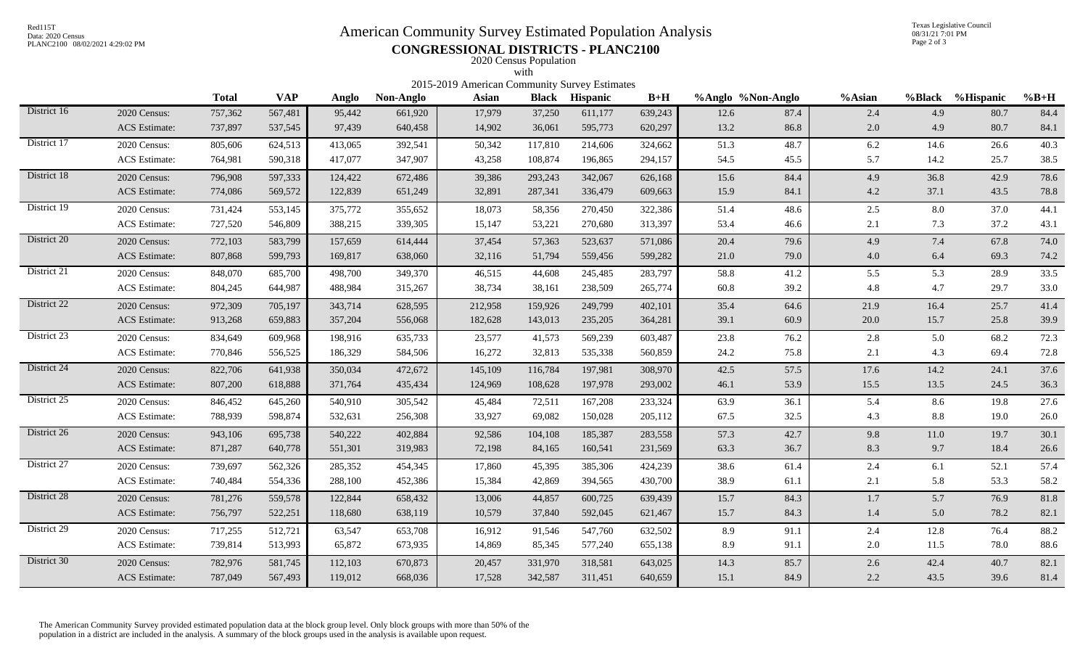Data: 2020 Census

# Red115T<br>Data: 2020 Census<br>PLANC2100 08/02/2021 4:29:02 PM<br>
CONGRESSION 1.5 DISTRICTES DU ANG2100

Texas Legislative Council 08/31/21 7:01 PM Page 2 of 3

## PLANC2100 08/02/2021 4:29:02 PM **CONGRESSIONAL DISTRICTS - PLANC2100** 2020 Census Population

|                                                     |                      |              |            |         |           | 2015-2019 American Community Survey Estimates | with    |                       |         |                   |      |         |      |                  |        |
|-----------------------------------------------------|----------------------|--------------|------------|---------|-----------|-----------------------------------------------|---------|-----------------------|---------|-------------------|------|---------|------|------------------|--------|
|                                                     |                      | <b>Total</b> | <b>VAP</b> | Anglo   | Non-Anglo | <b>Asian</b>                                  |         | <b>Black Hispanic</b> | $B+H$   | %Anglo %Non-Anglo |      | %Asian  |      | %Black %Hispanic | $%B+H$ |
| District 16                                         | 2020 Census:         | 757,362      | 567,481    | 95,442  | 661,920   | 17,979                                        | 37,250  | 611,177               | 639,243 | 12.6              | 87.4 | 2.4     | 4.9  | 80.7             | 84.4   |
|                                                     | <b>ACS</b> Estimate: | 737,897      | 537,545    | 97,439  | 640,458   | 14,902                                        | 36,061  | 595,773               | 620,297 | 13.2              | 86.8 | 2.0     | 4.9  | 80.7             | 84.1   |
| District 17<br>2020 Census:<br><b>ACS</b> Estimate: |                      | 805,606      | 624,513    | 413,065 | 392,541   | 50,342                                        | 117,810 | 214,606               | 324,662 | 51.3              | 48.7 | 6.2     | 14.6 | 26.6             | 40.3   |
|                                                     |                      | 764,981      | 590,318    | 417,077 | 347,907   | 43,258                                        | 108,874 | 196,865               | 294,157 | 54.5              | 45.5 | 5.7     | 14.2 | 25.7             | 38.5   |
| District 18<br>2020 Census:<br><b>ACS</b> Estimate: |                      | 796,908      | 597,333    | 124,422 | 672,486   | 39,386                                        | 293,243 | 342,067               | 626,168 | 15.6              | 84.4 | 4.9     | 36.8 | 42.9             | 78.6   |
|                                                     |                      | 774,086      | 569,572    | 122,839 | 651,249   | 32,891                                        | 287,341 | 336,479               | 609,663 | 15.9              | 84.1 | 4.2     | 37.1 | 43.5             | 78.8   |
| District 19                                         | 2020 Census:         | 731,424      | 553,145    | 375,772 | 355,652   | 18,073                                        | 58,356  | 270,450               | 322,386 | 51.4              | 48.6 | $2.5\,$ | 8.0  | 37.0             | 44.1   |
|                                                     | <b>ACS</b> Estimate: | 727,520      | 546,809    | 388,215 | 339,305   | 15,147                                        | 53,221  | 270,680               | 313,397 | 53.4              | 46.6 | 2.1     | 7.3  | 37.2             | 43.1   |
| District 20<br>2020 Census:<br><b>ACS</b> Estimate: |                      | 772,103      | 583,799    | 157,659 | 614,444   | 37,454                                        | 57,363  | 523,637               | 571,086 | 20.4              | 79.6 | 4.9     | 7.4  | 67.8             | 74.0   |
|                                                     |                      | 807,868      | 599,793    | 169,817 | 638,060   | 32,116                                        | 51,794  | 559,456               | 599,282 | 21.0              | 79.0 | 4.0     | 6.4  | 69.3             | 74.2   |
| District 21                                         | 2020 Census:         | 848,070      | 685,700    | 498,700 | 349,370   | 46,515                                        | 44,608  | 245,485               | 283,797 | 58.8              | 41.2 | 5.5     | 5.3  | 28.9             | 33.5   |
|                                                     | <b>ACS</b> Estimate: | 804,245      | 644,987    | 488,984 | 315,267   | 38,734                                        | 38,161  | 238,509               | 265,774 | 60.8              | 39.2 | 4.8     | 4.7  | 29.7             | 33.0   |
| District 22                                         | 2020 Census:         | 972,309      | 705,197    | 343,714 | 628,595   | 212,958                                       | 159,926 | 249,799               | 402,101 | 35.4              | 64.6 | 21.9    | 16.4 | 25.7             | 41.4   |
|                                                     | <b>ACS</b> Estimate: | 913,268      | 659,883    | 357,204 | 556,068   | 182,628                                       | 143,013 | 235,205               | 364,281 | 39.1              | 60.9 | 20.0    | 15.7 | 25.8             | 39.9   |
| District 23                                         | 2020 Census:         | 834,649      | 609,968    | 198,916 | 635,733   | 23,577                                        | 41,573  | 569,239               | 603,487 | 23.8              | 76.2 | 2.8     | 5.0  | 68.2             | 72.3   |
|                                                     | ACS Estimate:        | 770,846      | 556,525    | 186,329 | 584,506   | 16,272                                        | 32,813  | 535,338               | 560,859 | 24.2              | 75.8 | 2.1     | 4.3  | 69.4             | 72.8   |
| District 24                                         | 2020 Census:         | 822,706      | 641,938    | 350,034 | 472,672   | 145,109                                       | 116,784 | 197,981               | 308,970 | 42.5              | 57.5 | 17.6    | 14.2 | 24.1             | 37.6   |
|                                                     | <b>ACS</b> Estimate: | 807,200      | 618,888    | 371,764 | 435,434   | 124,969                                       | 108,628 | 197,978               | 293,002 | 46.1              | 53.9 | 15.5    | 13.5 | 24.5             | 36.3   |
| District 25                                         | 2020 Census:         | 846,452      | 645,260    | 540,910 | 305,542   | 45,484                                        | 72,511  | 167,208               | 233,324 | 63.9              | 36.1 | 5.4     | 8.6  | 19.8             | 27.6   |
|                                                     | <b>ACS</b> Estimate: | 788,939      | 598,874    | 532,631 | 256,308   | 33,927                                        | 69,082  | 150,028               | 205,112 | 67.5              | 32.5 | 4.3     | 8.8  | 19.0             | 26.0   |
| District 26                                         | 2020 Census:         | 943,106      | 695,738    | 540,222 | 402,884   | 92,586                                        | 104,108 | 185,387               | 283,558 | 57.3              | 42.7 | 9.8     | 11.0 | 19.7             | 30.1   |
|                                                     | <b>ACS</b> Estimate: | 871,287      | 640,778    | 551,301 | 319,983   | 72,198                                        | 84,165  | 160,541               | 231,569 | 63.3              | 36.7 | 8.3     | 9.7  | 18.4             | 26.6   |
| District 27                                         | 2020 Census:         | 739,697      | 562,326    | 285,352 | 454,345   | 17,860                                        | 45,395  | 385,306               | 424,239 | 38.6              | 61.4 | 2.4     | 6.1  | 52.1             | 57.4   |
|                                                     | <b>ACS</b> Estimate: | 740,484      | 554,336    | 288,100 | 452,386   | 15,384                                        | 42,869  | 394,565               | 430,700 | 38.9              | 61.1 | 2.1     | 5.8  | 53.3             | 58.2   |
| District 28                                         | 2020 Census:         | 781,276      | 559,578    | 122,844 | 658,432   | 13,006                                        | 44,857  | 600,725               | 639,439 | 15.7              | 84.3 | 1.7     | 5.7  | 76.9             | 81.8   |
|                                                     | <b>ACS</b> Estimate: | 756,797      | 522,251    | 118,680 | 638,119   | 10,579                                        | 37,840  | 592,045               | 621,467 | 15.7              | 84.3 | 1.4     | 5.0  | 78.2             | 82.1   |
| District 29                                         | 2020 Census:         | 717,255      | 512,721    | 63,547  | 653,708   | 16,912                                        | 91,546  | 547,760               | 632,502 | 8.9               | 91.1 | 2.4     | 12.8 | 76.4             | 88.2   |
|                                                     | <b>ACS</b> Estimate: | 739,814      | 513,993    | 65,872  | 673,935   | 14,869                                        | 85,345  | 577,240               | 655,138 | 8.9               | 91.1 | 2.0     | 11.5 | 78.0             | 88.6   |
| District 30                                         | 2020 Census:         | 782,976      | 581,745    | 112,103 | 670,873   | 20,457                                        | 331,970 | 318,581               | 643,025 | 14.3              | 85.7 | 2.6     | 42.4 | 40.7             | 82.1   |
|                                                     | <b>ACS</b> Estimate: | 787,049      | 567,493    | 119,012 | 668,036   | 17,528                                        | 342,587 | 311,451               | 640,659 | 15.1              | 84.9 | 2.2     | 43.5 | 39.6             | 81.4   |

The American Community Survey provided estimated population data at the block group level. Only block groups with more than 50% of the population in a district are included in the analysis. A summary of the block groups used in the analysis is available upon request.